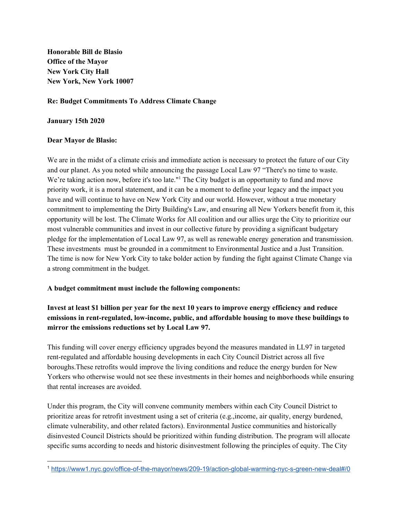**Honorable Bill de Blasio Office of the Mayor New York City Hall New York, New York 10007**

### **Re: Budget Commitments To Address Climate Change**

#### **January 15th 2020**

#### **Dear Mayor de Blasio:**

We are in the midst of a climate crisis and immediate action is necessary to protect the future of our City and our planet. As you noted while announcing the passage Local Law 97 "There's no time to waste. We're taking action now, before it's too late."<sup>1</sup> The City budget is an opportunity to fund and move priority work, it is a moral statement, and it can be a moment to define your legacy and the impact you have and will continue to have on New York City and our world. However, without a true monetary commitment to implementing the Dirty Building's Law, and ensuring all New Yorkers benefit from it, this opportunity will be lost. The Climate Works for All coalition and our allies urge the City to prioritize our most vulnerable communities and invest in our collective future by providing a significant budgetary pledge for the implementation of Local Law 97, as well as renewable energy generation and transmission. These investments must be grounded in a commitment to Environmental Justice and a Just Transition. The time is now for New York City to take bolder action by funding the fight against Climate Change via a strong commitment in the budget.

## **A budget commitment must include the following components:**

# **Invest at least \$1 billion per year for the next 10 years to improve energy efficiency and reduce emissions in rent-regulated, low-income, public, and affordable housing to move these buildings to mirror the emissions reductions set by Local Law 97.**

This funding will cover energy efficiency upgrades beyond the measures mandated in LL97 in targeted rent-regulated and affordable housing developments in each City Council District across all five boroughs.These retrofits would improve the living conditions and reduce the energy burden for New Yorkers who otherwise would not see these investments in their homes and neighborhoods while ensuring that rental increases are avoided.

Under this program, the City will convene community members within each City Council District to prioritize areas for retrofit investment using a set of criteria (e.g.,income, air quality, energy burdened, climate vulnerability, and other related factors). Environmental Justice communities and historically disinvested Council Districts should be prioritized within funding distribution. The program will allocate specific sums according to needs and historic disinvestment following the principles of equity. The City

<sup>1</sup> <https://www1.nyc.gov/office-of-the-mayor/news/209-19/action-global-warming-nyc-s-green-new-deal#/0>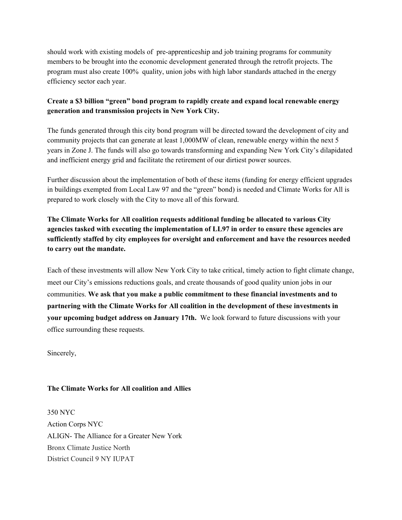should work with existing models of pre-apprenticeship and job training programs for community members to be brought into the economic development generated through the retrofit projects. The program must also create 100% quality, union jobs with high labor standards attached in the energy efficiency sector each year.

## **Create a \$3 billion "green" bond program to rapidly create and expand local renewable energy generation and transmission projects in New York City.**

The funds generated through this city bond program will be directed toward the development of city and community projects that can generate at least 1,000MW of clean, renewable energy within the next 5 years in Zone J. The funds will also go towards transforming and expanding New York City's dilapidated and inefficient energy grid and facilitate the retirement of our dirtiest power sources.

Further discussion about the implementation of both of these items (funding for energy efficient upgrades in buildings exempted from Local Law 97 and the "green" bond) is needed and Climate Works for All is prepared to work closely with the City to move all of this forward.

**The Climate Works for All coalition requests additional funding be allocated to various City agencies tasked with executing the implementation of LL97 in order to ensure these agencies are sufficiently staffed by city employees for oversight and enforcement and have the resources needed to carry out the mandate.**

Each of these investments will allow New York City to take critical, timely action to fight climate change, meet our City's emissions reductions goals, and create thousands of good quality union jobs in our communities. **We ask that you make a public commitment to these financial investments and to partnering with the Climate Works for All coalition in the development of these investments in your upcoming budget address on January 17th.** We look forward to future discussions with your office surrounding these requests.

Sincerely,

## **The Climate Works for All coalition and Allies**

350 NYC Action Corps NYC ALIGN- The Alliance for a Greater New York Bronx Climate Justice North District Council 9 NY IUPAT